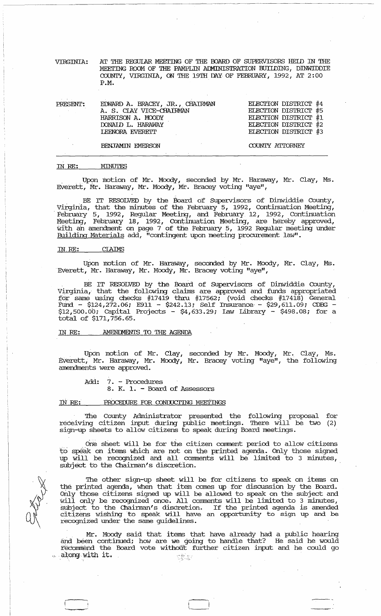VIRGINIA: AT THE REGUIAR MEEI'ING OF THE OOARD OF SUPERVISORS HEID IN THE MEETING ROOM OF THE PAMPLIN ADMINISTRATION BUIIDING, DINWIDDIE COUNTY, VIRGINIA, ON THE 19TH DAY. OF FEBRUARY, 1992, AT 2: 00 P.M.

| PRESENT: | EDWARD A. BRACEY, JR., CHAIRMAN<br>A. S. CIAY VICE-CHAIRMAN<br>HARRISON A. MOODY<br>DONAID L. HARAWAY | ELECTION DISTRICT #4<br>ELECTION DISTRICT #5<br><b>ELECTION DISTRICT #1</b><br>ELECTION DISTRICT #2 |
|----------|-------------------------------------------------------------------------------------------------------|-----------------------------------------------------------------------------------------------------|
|          | <b>LEENORA EVERETT</b>                                                                                | ELECTION DISTRICT #3                                                                                |
|          | BENJAMIN FMERSON                                                                                      | COUNTY ATTORNEY                                                                                     |

#### MINUTES IN RE:

. Upon motion of Mr. Moody, seconded by Mr. Haraway, Mr. Clay, Ms. Everett, Mr. Haraway, Mr. Moody, Mr. Bracey voting "aye",

BE IT RESOLVED by the Board of supervisors of Dinwiddie County,  $\overline{v}$  virginia, that the minutes of the February 5, 1992, Continuation Meeting, - February 5, 1992, Regular Meeting, and February 12, 1992, continuation Meeting, February 18, 1992, Continuation Meeting, are hereby approved, with an amendment on page 7 of the February 5, 1992 Regular meeting under BUilding Materials add, "contingent upon meeting procurement law".

## IN.RE: ClAIMS

Upon motion of Mr. Haraway, seconded by Mr. Moody, Mr. Clay, Ms. Everett, Mr. Haraway, Mr. Moody, Mr. Bracey voting "aye",

BE IT RESOLVED by the Board of Supervisors of Dinwiddie County, Virginia, that the following claims are approved and funds appropriated for same using checks #17419 thru #17562; (void checks #17418) General Fohd - \$124,272.06; E911 - \$242.13; Self Insurance· - \$29,611. 09; CDPG - \$12,500.00; capital Projects - \$4,633.29; law Library - \$498.08; for a total of \$171,756.65.

## IN RE: AMENDMENTS TO THE AGENDA

Upon motion of Mr. Clay, seconded by Mr. Moody, Mr. Clay, MS. EVerett, Mr. Haraway, Mr. Moody, Mr. Bracey voting "aye", the following amendments were approved.

Add: 7. - Procedures 8. K. 1. - Board of Assessors

## IN-RE: PROCEDURE FOR CONDUCTING MEETINGS

The County Administrator presented the following proposal for receiving citizen input during public meetings. There will be two (2) sign-up sheets to allow citizens to speak during Board meetings.

One sheet will be for the citizen comment period to allow citizens to speak on items which are not on the printed agenda. Only those signed up will be recognized and all connnents will be limited to 3 minutes, subject to the Chairman's discretion.

The other sign-up sheet will be for citizens to speak on items on the printed agenda, when that item comes up for discussion by the Board. Only those citizens signed up will be allowed to speak on the subj ect and will only be recognized once. All comments will be limited to 3 minutes, will only be recognized once. All comments will be finited to 5 minutes, citizens wishing to speak will have an opportunity to sign up and be recognized under the same guidelines.

Mr. Moody said that items that have already had a public hearing and been continued; how are we going to handle that? He said he would recommend the Board vote without further citizen input and he could go . along with it. tiğileri<br>Veriler

> $\begin{array}{c} \hline \end{array}$  $\Box$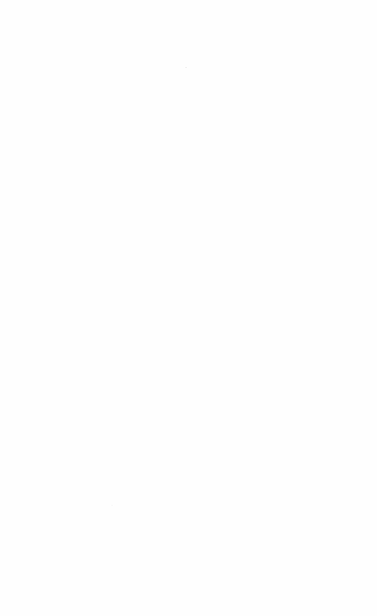$\label{eq:2.1} \frac{1}{\sqrt{2\pi}}\int_{0}^{\infty}\frac{1}{\sqrt{2\pi}}\left(\frac{1}{\sqrt{2\pi}}\right)^{2\alpha} \frac{1}{\sqrt{2\pi}}\int_{0}^{\infty}\frac{1}{\sqrt{2\pi}}\frac{1}{\sqrt{2\pi}}\frac{1}{\sqrt{2\pi}}\frac{1}{\sqrt{2\pi}}\frac{1}{\sqrt{2\pi}}\frac{1}{\sqrt{2\pi}}\frac{1}{\sqrt{2\pi}}\frac{1}{\sqrt{2\pi}}\frac{1}{\sqrt{2\pi}}\frac{1}{\sqrt{2\pi}}\frac{1}{\sqrt{2\pi}}\frac{$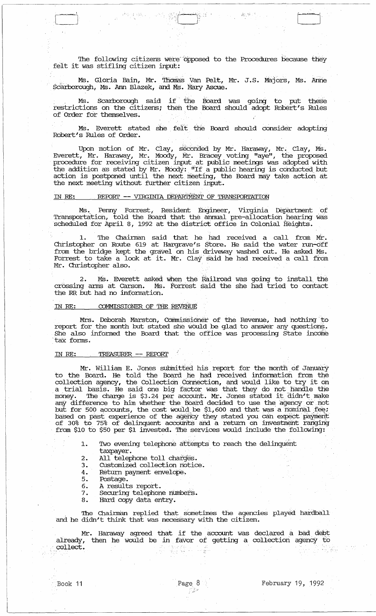The following citizens were opposed to the Procedures because they felt it was stifling citizen input:

.i;.

, Ms. Gloria Bain, Mr. Thomas Van Pelt, Mr. J.S. Majors, Ms. Anne Sdtrborough, Ms. Arm Blazek, and Ms. Mary Ascue.

, Ms. Scarborough said if the Board was going to put these restrictions on the citizens; theh the Bbard should adopt Robert's Rules of Order for themselves.

Ms. Everett stated she, felt the Board should consider adoptin9 Robert's Rules of Order.

Upon motion of Mr. Clay, seconded by Mr. Haraway, Mr. Clay, Ms. Everett, Mr. Haraway, Mr. Moody, Mr. Bracey voting "aye", the proposed procedure for receiving citizen input at public meetings was adopted with the addition as stated by Mr. Moody: "If a public hearing is conducted but action is postponed until the next meeting, the Board may take action at the next meeting without further citizen input.

#### REPORT -- VIRGINIA DEPARTMENT OF TRANSPORTATION IN RE:

Ms. Penny Forrest, Resident Engineer, Virginia Department of Transportation, told the Board that the annual pre-allocation hearing was sCheduled for April 8, 1992 at the district office in Colonial Heights.

1. The Chairman said that he had received a call from Mr. Christopher on Route 619 at Hargrave's store. He said the water ruh--dff from the bridge kept the gravel, on his driveway washed out. He asked Ms. Forrest to take a look at it. Mr. Clay' said he had received a call from Mr. Christopher also.

Ms. Everett asked when the Railroad was going to install the crossing arms at carson. Ms. Forrest Said the she had tried to contact the RR but had no information.

### IN RE: COMMISSIONER OF THE REVENUE

Mrs. Deborah Marston, Commissioner of the Revenue, had nothing to report for the month but stated she would be glad to answer any questions. She also infonned the Board that the office was processing state income tax forms.

# IN RE: TREASURER -- REPORT

Mr. William E. Jones submitted his report for the month of January to the Board. He told the Board he had received informatioh from the co the Board. He cold the Board he had received information from the collection agency, the Collection Connection, and would like to try it on a trial basis. He said one big factor was that they do not, handle the money. The charge is \$3.24 per account. Mr. Jones stated it didn't make any difference to him whether the Board decided to use the agency or not but for 500 accounts, the cost would be \$1,600 and that was a nominal fee; based on past experience of the agency they stated you can expect payment of 30% to 75% of delinqUent accourlts and a return on investment, ranging from \$10 to \$50 per \$1 invested. '!he services would include the following:

1. Two evening telephone attempts to reach the delinquent taxpayer.

- 2. All telephone toll charges.<br>3. Customized collection notic
- Customized collection notice.
- 4. Return payment envelope.
- 5. Postage.
- 6. A results report.
- 7. Securing telephone numbers.
- 8. Hard copy data entry.

The Chairman replied that sometimes the agencies played hardball and he didn't think that was necessary with the citizen.

Mr. Haraway agreed that if the account was declared a bad debt already, then he would be in favor of getting a collection agency to collect.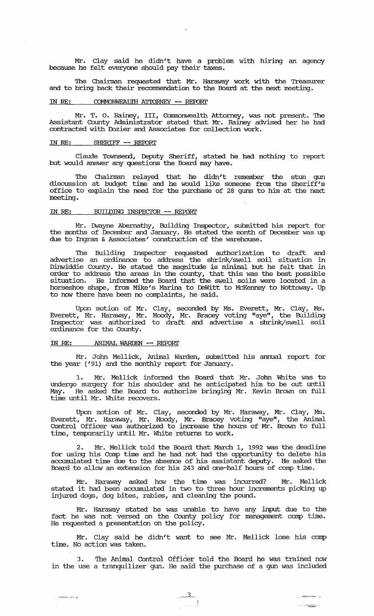Mr. Clay said he didn't have a problem with hiring an agency because he felt everyone should pay their taxes.

The Chainnan requested that Mr. Haraway work with the Treasurer and to bring back their recommendation to the Board at the next meeting.

## IN RE: COMMONWEALTH ATIORNEY **-- REroRr**

Mr. T. O. Rainey, III, Commonwealth Attorney, was not present. The Assistant County Administrator stated that Mr. Rainey advised her he had contracted with DOzier and Associates for collection work.

## IN RE: SHERIFF -- REPORT

Claude Townsend, Deputy Sheriff, stated he had nothing to report but would answer any questions the Board may have.

The Chainnan relayed that he didn't remember the stun gun discussion at budget time and he would like someone from the Sheriff's office to explain the need for the purcnase of 28 guns to him at the next ineeting.

### IN, RE: BUILDING INSPECIOR -- REPORT

Mr. IMayne Abernathy, Building Inspector, submitted his report for the niohths of December and January. He stated the month of December was up due to Ingram & Associates' construction of the warehouse.

The Building Inspector requested authorization to draft and advertise an ordinance to address the shrink/swell soil situation in Dinwiddie County. He stated the maghitude is minimal but he felt that in order to address the areas in the county, that this was the best possible situation. He infonned the Board that the swell soils were located in a horseshoe shape, from Mike's Marina to DeWitt to McKenney to Nottoway. Up to now there have been no complaints, he said.

Upon motion of Mr. Clay, seconded by Ms. Everett, Mr. clay, Ms. Everett, Mr. Haraway, Mr. Mocxiy, Mr. Bracey voting "aye", the Building Inspector was authorized to draft and advertise a shrink/swell soil ordinance for the County.

### IN ,RE: ANIMAL WARDEN **--** REroRI'

 $-$ ,  $-$ ,  $-$ 

Mr. John Mellick, Animal Warden, submitted his annual report for the year ('91) and the monthly report for January.

1. Mr. Mellick infonned the Board that Mr. John White was to undergo surgery for his shoulder ahd he anticipated him to be out until May. He asked the Board to authorize bringing Mr. Kevin Brown on full time until Mr. White recovers.

upon motion of Mr. Clay, seconded by Mr. Haraway, Mr. Clay, Ms. Everett, Mr. Haraway, Mr. Moody, Mr. Bracey voting "aye", the Animal Control Officer was authorized to increase the hours of Mr. Brown to full time, temporarily until Mr. White retums to work.

2. Mr. Mellick told the Board that March 1, 1992 was the deadline for using his Comp time and he had not had the opportunity to delete his acctnnulated time due to the absence 6f his assistant deputy. He asked the Board to allow an extension for his 243 and one-half hours of comp time.

Mr. Haraway asked how the time was incurred? Mr. Mellick stated it had been accumulated in two to three hour increments picking up injured dogs, dog bites, rabies, and cleaning the pound.

Mr. Haraway stated he was unable to have any input due to the fact he was not versed on the County policy for management comp time. He requested a presentation on the policy.

Mr. Clay said he didn't want to see Mr. Mellick lose his comp time. No action was taken.

3. The Animal Control Officer told the Board he was trained now in the use a tranquilizer gun. He said the purchase of a gun was included

 $\label{eq:1} \mathbf{L} = -\frac{1}{\sqrt{2\pi}\sqrt{2\pi}\sqrt{2\pi}}\frac{\mathbf{L}}{\sqrt{2\pi}\sqrt{2\pi}\sqrt{2\pi}}\frac{\mathbf{L}}{\sqrt{2\pi}\sqrt{2\pi}}\frac{\mathbf{L}}{\sqrt{2\pi}\sqrt{2\pi}}\frac{\mathbf{L}}{\sqrt{2\pi}\sqrt{2\pi}}\frac{\mathbf{L}}{\sqrt{2\pi}\sqrt{2\pi}}\frac{\mathbf{L}}{\sqrt{2\pi}\sqrt{2\pi}}\frac{\mathbf{L}}{\sqrt{2\pi}\sqrt{2\pi}}\frac{\mathbf{L}}{\sqrt{2\pi}\sqrt{2\pi}}\frac{\mathbf{L$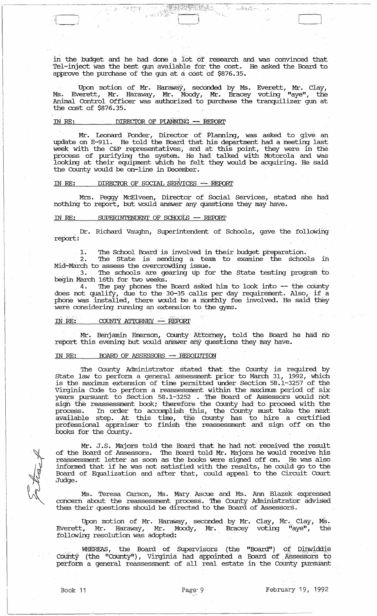in the budget and he had done a. lot df research and was convinced that Tel-inject was the best gun available for the cost. He asked the Board to approve the purchase of the gun at a cost of \$876.35.

<:';!-'.,::,"-.. '::~~~ ";<"

 $\frac{1}{2}$ ,  $\frac{1}{2}$ ,  $\frac{1}{2}$ ,  $\frac{1}{2}$ ,  $\frac{1}{2}$ ,  $\frac{1}{2}$ ,  $\frac{1}{2}$ ,  $\frac{1}{2}$ ,  $\frac{1}{2}$ ,  $\frac{1}{2}$ ,  $\frac{1}{2}$ ,  $\frac{1}{2}$ ,  $\frac{1}{2}$ ,  $\frac{1}{2}$ ,  $\frac{1}{2}$ ,  $\frac{1}{2}$ ,  $\frac{1}{2}$ ,  $\frac{1}{2}$ ,  $\frac{1}{2}$ ,  $\frac{1}{2}$ ,

<sup>1</sup>\_~-,r l

Upon motion of Mr. Harciway, seconded by Ms. Everett, Mr. Clay, Ms. Everett, Mr. Haraway, Mr. Moody, Mr. Bracey voting "aye", the Animal Control Officer was authorized to purchase the tranquilizer gun at the cost of \$876.35.

#### DIRECTOR OF PLANNING -- REPORT IN *RE:*

 $\left(\begin{array}{c} \begin{array}{c} \begin{array}{c} \end{array}\\ \end{array}\right) \end{array}$ ,,0

Mr. Leonard Ponder, Director of Planning, was asked to give an update on E-911. He told the Board that his department had a meeting last week with the C&P representatives, and at this point, they were in the process of purifying the system. He had, talked with Motorola and was looking at their equipment which he felt they would be acquiring. He said the County would be on-line in December.

# IN RE: DIRECTOR OF SOCIAL SERVICES -- REPORT

Mrs. Peggy McElveen, Director of Social Services, stated she had nothing to report, but would answer any questions they may have.

## INRE: SUPERINTENDENT OF SCfIOOlS **--**.REIDRI'

Dr. Richard Vaughn, Superintendent of Schools, gave the following rePort:

1. The School Board is involved in their budget preparation.

2. The State is sending a team to examine the schools in Mid-March to assess the overcrowding issue.

3. The schools are gearing up for the State testing program to begin March 16th for two weeks.<br>4. The pay phones the

The pay phones the Board asked him to look into -- the county does not qualify, due to the 30-35 calls per day requirement. Also, if a phone was installed, there would be a monthly fee involved. He said they were considering running an extension to the gyms.

#### COUNTY ATTORNEY -- REPORT IN RE:

Mr. Benjamin Emerson, County Attorney, told the Board he had no report this evening but would answer any questions they may have.

## IN RE: BOARD OF ASSESSORS -- RESOLUTION

The County Administrator stated that the County is required by State law to perfonn a general, assessment prior to March 31, 1992, which is the maximum extension of time permitted under Section 58.1-3257 of the Virginia Code to perform a reassessment within the maximum period of six Years ,pursuant to Section 58.1-3252 . The Board of ASsessors would riot sigh the reassessment book; therefore the County had to proceed with the process. In order to accomplish this, the County must take the next available step. At this time, the County has to hire a certified professional appraiser to finish the reassessment and sign off on the books for the County.

Mr. J.S. Majors told the Board that he had not received the result of the Board of Assessors. The Board told Mr. Maj ors he would receive his reassessment letter as soon as, the books were signed off on. He was also informed that if he was not satisfied with the'results, he could go to the Board of Equalization and after that, could appeal to the Circuit Court Judge.

Ms. Teresa Carson, Ms. Mary Ascue and Ms. Ann Blazek expressed concern about the reassessment process. The County Administrator advised them their questiohs should be directed to the Board of Assessors.

Upon motion of Mr. Haraway, seconded by Mr. Clay, Mr. Clay, ME;. Everett, Mr. Haraway, Mr. Moody, Mr. Bracey voting "aye", the following resolution was adopted:

WHEREAS, the Board of Supervisors (the "Board") of Dinwiddie County (the "County"), Virginia had appointed a Board of Assessors to perform a general reassessment of all real estate in the county pursuant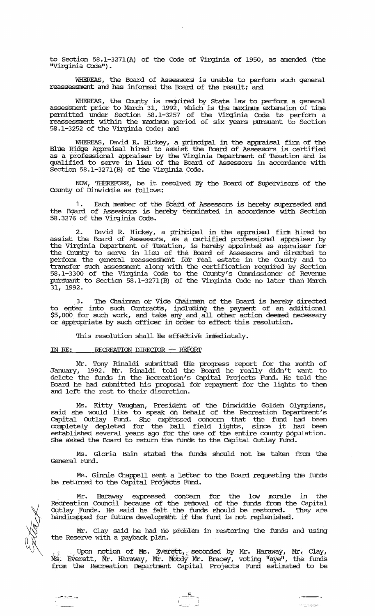to section 58.1-3271(A) of the Code of Virginia of 1950, as amended (the "Virginia Code") .

WHEREAS, the Board of Assessors is unable to perform such general reassessment and has informed the Board of the result; and

WHEREAS, the County is required by State law to perform a general assessment prior to March 31, 1992, which is the maxirnum extension of time permitted under Section 58.1-3257 of the Virginia Code to perform a reassessment within the maximum period of six years pursuant to section 58.1-3252 of the Virginia Code; and

WHEREAS, David R. Hickey, a principal in the appraisal firm of the Blue Ridge Appraisal hired to assist the Board of Assessors is certified as a professional appraiser by the Virginia Department of Taxation and is qualified to serve in lieu of the Board of Assessors in accordance with section 58.1-3271 (B) of the Virginia Code.

NOW, *THEREFORE,* be it reBol ved By the Board of SUpervisors of the county of Dinwiddie as follows:

i. Each member of the Board 6f Assessors is hereby superseded and the Board of Assessors is hereby terminated in accordance with Section 58.3276 of the Virginia Code.

2. David R. Hickey, a principal in the appraisal finn hired to assist the Board of Assessors, as a certified professional appraiser by the Virginia Department of Taxation, is hereby appointed as appraiser for the County to serve in lieu of the Board of Assessors and directed to perform the general reassessment for real estate in the County and to transfer such assessment along with the certification requited by Section 58.1-3300 of the Virginia Code to the County's Commissioner of Revenue pursuant to Section 58.1-3271(B) of the Virginia Code no later than March 31, 1992.

3. The Chairman or Vice Chairman of the Board is hereby directed to enter into such Contracts, including the payment of an additional \$5,000 for such work, and take any and all other action deemed necessary or appropriate by such officer in order to effect this resolution.

This resolution shall be effective immediately.

## IN RE: RECREATION DIRECTOR -- REPORT

Mr. Tony Rinaldi submitted the progress report for the month of January, 1992. Mr. Rinaldi told the Board he really didn't want to delete the funds in the Recreation's capital Projects Fund. He told the Board he had submitted his proposal for repayment for the lights to them and left the rest to their discretioh.

Ms. Kitty Vaughan, President. of the Dinwiddie Golden Olympians, said she would like to speak on behalf of the Recreation Department's capital outlay Fund. She expressed concern that the fund had been completely depleted for the ball field lights, since it had been established several years ago for the use of the entire county population. She asked the Board to return the funds to the Capital Outlay Fund.

Ms. Gloria Bain stated the funds should not be taken from the General Fund.

Ms. Ginnie Chappell sent a letter to the Board requesting the funds be returned to the capital Projects FUnd.

Mr. Haraway expressed concern for the low morale in the Recreation Council because of the removal of the funds from the Capital outlay Funds. He said he felt the funds should be restored. They are but ay runs. He said he felt the funds should be rescored.<br>handicapped for future development if the fund is not replenished.

Mr. Clay said he had no problem in restoring the funds and using the Reserve with a payback plan.

. Upon motion of Ms. Everett, seconded by Mr. Haraway, Mr. Clay, ~. EVerett, Mr. Haraway, Mr. M'6Od1 Mr. Bracey, voting "aye", the funds from the Recreation Department Capital Projects Fund estimated to be

 $\mathsf{F}$  $\frac{F}{r}$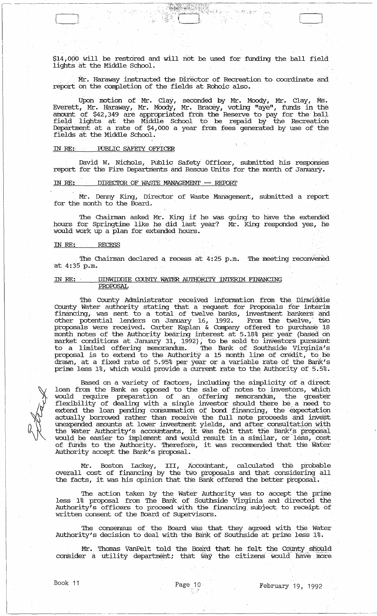\$14,090 will. be restored and will hot be used for funding the ball field lights at the Middle School.

Mr. Haraway instructed the Director of Recreation to coordinate and report on the completion of the fields at Rohoic also.

Upon motion of Mr. Clay, seconded by Mr. Moody, Mr. Clay, Ms. Everett, Mr. Haraway, Mr. Moody, Mr. Bracey, voting "aye", funds in the amount of \$42,349 are appropriated from the Reserve to pay for the ball fiei.d lights at the Middle School to be repaid by the Recreation Department at a rate of \$4,000 a year from fees generated by use of the fields at the Middle School.

### IN RE: PUBLIC SAFETY OFFICER

David W. Nichols, Public Safety Officer, submitted his responses report for the Fire Departments and Rescue Units for the month of January.

### IN RE: DIRECTOR OF WASTE MANAGEMENT -- REPORT

Mr. Denny King, Director of Waste Management, submitted a report for the month to the Board.

The Chairman asked Mr. King if he was going to have the extended hours for Springtime like he did last year? Mr. King respohded yes, he would work up a plan for extended hours.

### IN RE: RECESS

The Chairman declared a recess at  $4:25$  p.m. The meeting reconvened at  $4:35$  p.m.

#### DINWIDDIE COUNTY WATER AUTHORITY INTERIM FINANCING IN RE: PROPOSAL

The County Administrator received information from the Dinwiddie County Water authority stating that a request for Proposals for interim financing, was sent to a total of twelve banks, investment bankers arid other potential lenders on January 16, 1992. From the twelve, two proposals were received. Carter Kaplan & Company offered to purchase 18 month notes of the Authority bearing interest at 5.18% per year (based on market conditions at January 31, 1992), to be sold to investors pursuant to a limited offering memorandum. The Bank of Southside Virginia's proposal is to extend to the Authority a 15 month line of credit, to be drawn, at a fixed rate of 5.95% per year or a variable rate of the Bank's prime less 1%, which would provide a current rate to the Authority of 5.5%.

Based on a variety of factors; mcluding the simplicity of a direct loan from the Bank as opposed to the sale of notes to investors, which. would require preparation of an offering memorandum, the greater flexibility of dealing with a single mvestor should there be.a need to extend the loan pending consummation of bond financing, the expectation actually borrowed rather than receive the full note proceeds and invest. unexpended amounts at lower investment yields, and after consultation with unexperided allowings at lower investment yields, and after consultation with would be easier to implement and would result in a similar, or less, cost would be easier to implement and would result in a similar, or less, cost<br>of funds to the Authority. Therefore, it was recommended that the Water Authority accept the Bank's proposal.

Mr. Boston Lackey, III, Accountant, calculated the probable overall cost of financing by the -twb p:roposals and that considering all overall cost of financing by the two proposals and that considering .<br>the facts, it was his opinion that the Bank offered the better proposal.

The action taken by the Water Authority was to accept the prime less 1% proposal from The Bank of Southside Virginia and directed the Authority's officers to proceed with the financing subject to receipt of written consent of the Board of Supervisors.

The consensus of the Board was that they agreed with the Water Authority's decision to deal with the Bank of Southside at prime less 1%.

Mr. Thomas VanPelt told the Board that he felt the County should consider a utility department; that way the citizens would have more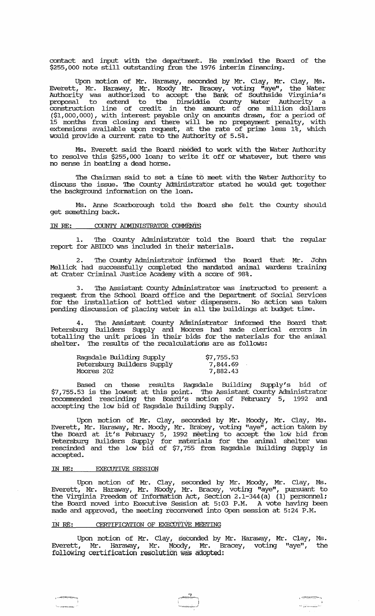contact and input with the department. He reminded the Board of the \$255,000 note still outstanding fram the 1976 interim financing.

Upon motion of Mr. Haraway, seconded by Mr. Clay, Mr. Clay, Ms. Everett, Mr. Haraway, Mr. Moody Mr. Bracey, voting "aye", the Water Authority was authorized to accept the Bank of Southside Virginia's proposal to extend to the Dinwiddie County Water Authority a construction line of credit in the amount of one million dollars (\$1,000,000), with interest payable only on amounts drawn, for a period of 15 months fram closing and there will be no prepayment penalty, with extensions available upon request, at the rate of prime less 1%, which woUld provide a current rate to the AUthority of 5.5%.

Ms. Everett said the Board needed to work with the Water Authority to resolve this \$255,000 loan; to write it off or whatever, but there was no sense in beating a dead horse.

The Chairman said to set a time to meet with the Water Authority to discuss the issue. The County Administrator stated he would get together the background infonnation on the loan.

Ms. Anne Scarborough told the Board she felt the County should get something back.

## IN RE: COUNTY ADMINISTRATOR COMMENTS

1. The County Administrator told the Board that the regular report for ABIIXD was included in their materials.

2. The County Administrator informed the Board that Mr. John Mellick had successfully completed the mandated animal wardens training at crater Criminal Justice Academy with a score of 98%.

3. '!he Assistant county Administrator was instructed to present a request from the School Board office and the Department of Social services for the installation of bottled water dispensers. No action was taken pending discussion of placing water in all the buildings at budget time.

4. The Assistant County Administrator informed the Board that Petersburg Builders Supply and Moores had made clerical errors in totalling the unit prices in their bids for the materials for the animal shelter. The results of the recalculations are as follows:

| Ragsdale Building Supply   | \$7,755.53 |
|----------------------------|------------|
| Petersburg Builders Supply | 7,844.69   |
| Moores 202                 | 7,882.43   |

Based on these results Ragsdale Building Supply's bid of \$7,755.53 is the lowest at this point. '1'he Assistant County Administrator recommended rescinding the Board's motion of February 5, 1992 and accepting the low bid of Ragsdale Building Supply.

Upon motion of Mr. Clay, seconded by Mr. Moody, Mr. Clay, Ms. Everett, Mr. Haraway, Mr. Moody, Mr. Bracey, voting "aye", action taken by<br>the Board at it's February 5, 1992 meeting to accept the low bid from Petersburg Builders Supply for materials for the animal shelter was rescinded and the low bid of \$7,755 from Ragsdale Building Supply is accepted.

## IN RE: EXECUTIVE SESSION

Upon motion of Mr. Clay, seconded by Mr. Moody, Mr. Clay, Ms. Everett, Mr. Haraway, Mr. Moody, Mr. Bracey, voting "aye", pursuant to the Virginia Freedom of Information Act, Section 2.1-344(a) (1) personnel; the Board moved into Executive SeSsion at 5:03 P.M. A vote having been made and approved, the meeting reconvened into Open session at 5:24 P.M.

## IN RE: CERTIFICATION OF EXECUTIVE MEETING

Upon motion of Mr. Clay, seconded by Mr. Haraway, Mr. Clay, Ms. Everett, Mr. Haraway, Mr. Moody, Mr. Bracey, voting "aye", the following certification resolution was adopted:

'7

 $\begin{array}{c} \overline{1} \\ \overline{1} \\ \overline{1} \\ \overline{1} \\ \overline{1} \\ \overline{1} \\ \overline{1} \\ \overline{1} \\ \overline{1} \\ \overline{1} \\ \overline{1} \\ \overline{1} \\ \overline{1} \\ \overline{1} \\ \overline{1} \\ \overline{1} \\ \overline{1} \\ \overline{1} \\ \overline{1} \\ \overline{1} \\ \overline{1} \\ \overline{1} \\ \overline{1} \\ \overline{1} \\ \overline{1} \\ \overline{1} \\ \overline{1} \\ \overline{1} \\ \overline{1} \\ \overline{1} \\ \overline$